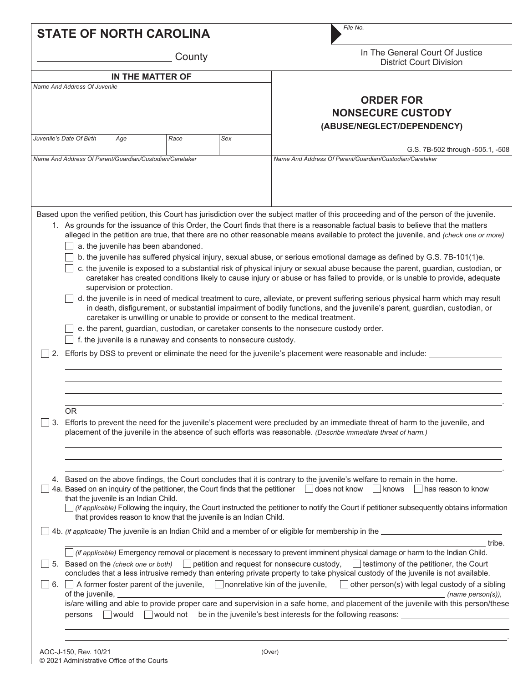|    |                                                                                                                                                                                                                                                                                                                                                                                                                                                                                                                                                                                                                                                                                                                                                                                                                                                                                              |                            | <b>STATE OF NORTH CAROLINA</b>      |                                                                 | File No.                                                                                                                                                                                                                                                                                                                                                                                                                                                                                                                                                                                                                                                                                                                                                                                                                                                                                                                                                                                                                                                                                                                                                                                                                                                                                                                                                                                  |  |  |  |  |
|----|----------------------------------------------------------------------------------------------------------------------------------------------------------------------------------------------------------------------------------------------------------------------------------------------------------------------------------------------------------------------------------------------------------------------------------------------------------------------------------------------------------------------------------------------------------------------------------------------------------------------------------------------------------------------------------------------------------------------------------------------------------------------------------------------------------------------------------------------------------------------------------------------|----------------------------|-------------------------------------|-----------------------------------------------------------------|-------------------------------------------------------------------------------------------------------------------------------------------------------------------------------------------------------------------------------------------------------------------------------------------------------------------------------------------------------------------------------------------------------------------------------------------------------------------------------------------------------------------------------------------------------------------------------------------------------------------------------------------------------------------------------------------------------------------------------------------------------------------------------------------------------------------------------------------------------------------------------------------------------------------------------------------------------------------------------------------------------------------------------------------------------------------------------------------------------------------------------------------------------------------------------------------------------------------------------------------------------------------------------------------------------------------------------------------------------------------------------------------|--|--|--|--|
|    |                                                                                                                                                                                                                                                                                                                                                                                                                                                                                                                                                                                                                                                                                                                                                                                                                                                                                              |                            | County                              |                                                                 | In The General Court Of Justice<br><b>District Court Division</b>                                                                                                                                                                                                                                                                                                                                                                                                                                                                                                                                                                                                                                                                                                                                                                                                                                                                                                                                                                                                                                                                                                                                                                                                                                                                                                                         |  |  |  |  |
|    |                                                                                                                                                                                                                                                                                                                                                                                                                                                                                                                                                                                                                                                                                                                                                                                                                                                                                              | IN THE MATTER OF           |                                     |                                                                 |                                                                                                                                                                                                                                                                                                                                                                                                                                                                                                                                                                                                                                                                                                                                                                                                                                                                                                                                                                                                                                                                                                                                                                                                                                                                                                                                                                                           |  |  |  |  |
|    | Name And Address Of Juvenile                                                                                                                                                                                                                                                                                                                                                                                                                                                                                                                                                                                                                                                                                                                                                                                                                                                                 |                            |                                     |                                                                 | <b>ORDER FOR</b><br><b>NONSECURE CUSTODY</b><br>(ABUSE/NEGLECT/DEPENDENCY)                                                                                                                                                                                                                                                                                                                                                                                                                                                                                                                                                                                                                                                                                                                                                                                                                                                                                                                                                                                                                                                                                                                                                                                                                                                                                                                |  |  |  |  |
|    | Juvenile's Date Of Birth                                                                                                                                                                                                                                                                                                                                                                                                                                                                                                                                                                                                                                                                                                                                                                                                                                                                     | Age                        | Race                                | Sex                                                             |                                                                                                                                                                                                                                                                                                                                                                                                                                                                                                                                                                                                                                                                                                                                                                                                                                                                                                                                                                                                                                                                                                                                                                                                                                                                                                                                                                                           |  |  |  |  |
|    | Name And Address Of Parent/Guardian/Custodian/Caretaker                                                                                                                                                                                                                                                                                                                                                                                                                                                                                                                                                                                                                                                                                                                                                                                                                                      |                            |                                     |                                                                 | G.S. 7B-502 through -505.1, -508<br>Name And Address Of Parent/Guardian/Custodian/Caretaker                                                                                                                                                                                                                                                                                                                                                                                                                                                                                                                                                                                                                                                                                                                                                                                                                                                                                                                                                                                                                                                                                                                                                                                                                                                                                               |  |  |  |  |
|    |                                                                                                                                                                                                                                                                                                                                                                                                                                                                                                                                                                                                                                                                                                                                                                                                                                                                                              | supervision or protection. | a. the juvenile has been abandoned. | f. the juvenile is a runaway and consents to nonsecure custody. | Based upon the verified petition, this Court has jurisdiction over the subject matter of this proceeding and of the person of the juvenile.<br>1. As grounds for the issuance of this Order, the Court finds that there is a reasonable factual basis to believe that the matters<br>alleged in the petition are true, that there are no other reasonable means available to protect the juvenile, and (check one or more)<br>b. the juvenile has suffered physical injury, sexual abuse, or serious emotional damage as defined by G.S. 7B-101(1)e.<br>c. the juvenile is exposed to a substantial risk of physical injury or sexual abuse because the parent, guardian, custodian, or<br>caretaker has created conditions likely to cause injury or abuse or has failed to provide, or is unable to provide, adequate<br>d. the juvenile is in need of medical treatment to cure, alleviate, or prevent suffering serious physical harm which may result<br>in death, disfigurement, or substantial impairment of bodily functions, and the juvenile's parent, guardian, custodian, or<br>caretaker is unwilling or unable to provide or consent to the medical treatment.<br>e. the parent, guardian, custodian, or caretaker consents to the nonsecure custody order.<br>Efforts by DSS to prevent or eliminate the need for the juvenile's placement were reasonable and include: __ |  |  |  |  |
| 3. | <b>OR</b><br>Efforts to prevent the need for the juvenile's placement were precluded by an immediate threat of harm to the juvenile, and<br>placement of the juvenile in the absence of such efforts was reasonable. (Describe immediate threat of harm.)                                                                                                                                                                                                                                                                                                                                                                                                                                                                                                                                                                                                                                    |                            |                                     |                                                                 |                                                                                                                                                                                                                                                                                                                                                                                                                                                                                                                                                                                                                                                                                                                                                                                                                                                                                                                                                                                                                                                                                                                                                                                                                                                                                                                                                                                           |  |  |  |  |
| 4. | Based on the above findings, the Court concludes that it is contrary to the juvenile's welfare to remain in the home.<br>4a. Based on an inquiry of the petitioner, the Court finds that the petitioner descript holds not know and knows<br>  $ $ has reason to know<br>that the juvenile is an Indian Child.<br>(if applicable) Following the inquiry, the Court instructed the petitioner to notify the Court if petitioner subsequently obtains information<br>that provides reason to know that the juvenile is an Indian Child.                                                                                                                                                                                                                                                                                                                                                        |                            |                                     |                                                                 |                                                                                                                                                                                                                                                                                                                                                                                                                                                                                                                                                                                                                                                                                                                                                                                                                                                                                                                                                                                                                                                                                                                                                                                                                                                                                                                                                                                           |  |  |  |  |
|    | 4b. <i>(if applicable)</i> The juvenile is an Indian Child and a member of or eligible for membership in the <b>contract to the contract of the state</b>                                                                                                                                                                                                                                                                                                                                                                                                                                                                                                                                                                                                                                                                                                                                    |                            |                                     |                                                                 |                                                                                                                                                                                                                                                                                                                                                                                                                                                                                                                                                                                                                                                                                                                                                                                                                                                                                                                                                                                                                                                                                                                                                                                                                                                                                                                                                                                           |  |  |  |  |
|    | tribe.<br>The interpretable) Emergency removal or placement is necessary to prevent imminent physical damage or harm to the Indian Child.<br>5. Based on the (check one or both)<br>$\Box$ petition and request for nonsecure custody, $\Box$ testimony of the petitioner, the Court<br>concludes that a less intrusive remedy than entering private property to take physical custody of the juvenile is not available.<br>6. $\Box$ A former foster parent of the juvenile, $\Box$ nonrelative kin of the juvenile,<br>$\Box$ other person(s) with legal custody of a sibling<br>of the juvenile, _<br>(name person(s)),<br>is/are willing and able to provide proper care and supervision in a safe home, and placement of the juvenile with this person/these<br>would<br>◯│would not be in the juvenile's best interests for the following reasons: △△△△△△△△△△△△△△△△△△△△△△△△<br>persons |                            |                                     |                                                                 |                                                                                                                                                                                                                                                                                                                                                                                                                                                                                                                                                                                                                                                                                                                                                                                                                                                                                                                                                                                                                                                                                                                                                                                                                                                                                                                                                                                           |  |  |  |  |